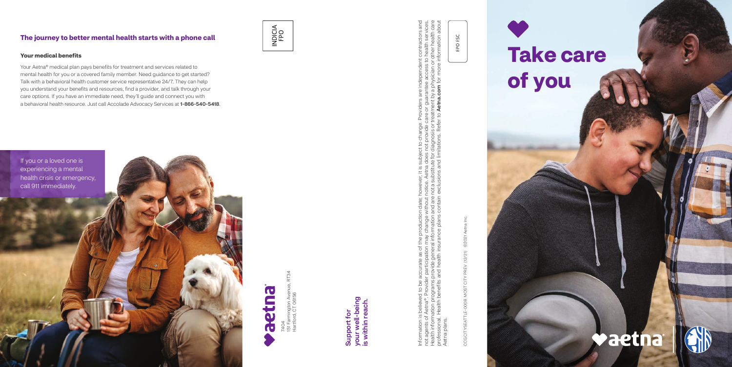7404<br>151 Farmington Aven<br>Hartford, CT 06156 151 Farmington Avenue, RT34 Hartford, CT 06156

Information is believed to be accurate as of the production date; however, it is subject to change. Providers are independent contractors and not agents of Aetna®. Provider participation may change without notice. Aetna does not provide care or guarantee access to health services. Health information programs provide general information and are not a substitute for diagnosis or treatment by a physician or other health care professional. Health benefits and health insurance plans contain exclusions and limitations. Refer to Aetna.com for more information about viders are independent contractors and<br>or guarantee access to health services.<br>ment by a physician or other health care<br>**Aetna.com** for more information about de care or<br>or treatme Joject to change. Provi<br>loes not provide care o<br>a for diagnosis or treatm<br>1 limitations. Refer to **A** e. Aetna do<br>ubstitute f date; howev<br>hout notice<br>d are not a s<br>ntain exclu Information is believed to be accurate as of the production date<br>not agents of Aetna®. Provider participation may change withou<br>Health information programs provide general information and ar<br>professional. Health benefits a Aetna plans. plans Aetna

your well-being<br>is within reach. your well-being is within reach. Support for Support for

CCG CITYSEATTLE-0008 MOST CITY PREV (12/21) ©2021 Aetna Inc. **©2021 Aet**  $(12/21)$ CCG CITYSEATTLE-0008 MOST CITY PREV

FPO FSC

## **The journey to better mental health starts with a phone call**







#### **Your medical benefits**

Your Aetna® medical plan pays benefits for treatment and services related to mental health for you or a covered family member. Need guidance to get started? Talk with a behavioral health customer service representative 24/7. They can help you understand your benefits and resources, find a provider, and talk through your care options. If you have an immediate need, they'll guide and connect you with a behavioral health resource. Just call Accolade Advocacy Services at 1-866-540-5418.

# **Take care of you**

## **Vaetna**